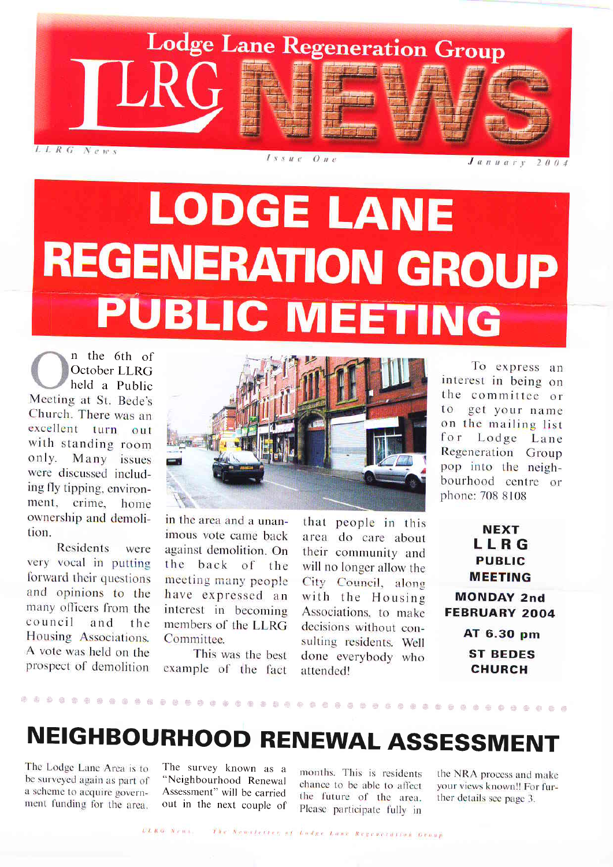

 $J$  annary 2004

# **LODGE LANE REGENERATION GROUP PUBLIC MEETING**

n the 6th of October LLRG held a Public Meeting at St. Bede's Church. There was an excellent turn out with standing room only. Many issues were discussed including fly tipping. environment, crime, home ownership and demolition.

Residents were very vocal in putting forward their questions and opinions to the many officers from the council and the Housing Associations. A vote was held on the prospect of demolition



in the area and a unanimous vote came back against demolition. On the back of the meeting many people have expressed an interest in becoming members of the LLRG Committee.

This was the best example of dhe fact that people in this area do care about their community and will no longer allow the City Council, along with the Housing Associations, to make decisions without consulting residents. Well done everybody who attended!

To express an interest in being on the committee or to get your name on the mailing list for Lodge Lane Regeneration Group pop into the neighbourhood centre or phone: 708 8108

> **NEXT** LLRG **PUBLIC** MEETING

MONDAY 2nd FEBRUARY 2OO4

> AT 6.3O pm ST BEDES CHURCH

### NEIGHBOURHOOD RENEWAL ASSESSMENT

i ri:r l:::, ::tii :itt t:ti ii:. iaii, ta:t .a , ::ir t-,: ,ili. .i:tr ,.,r :r, :tiii r:i:: ::i, ::t:: ,l:l: l::r, tii i: ::ta: ,i ::tt. :11 ,111 ii:, ilii ,i:t ll1. :l: 'i11 aa:a, a:, ::::, ,a ,, .a:ar i: .::,

The Lodge Lane Area is to be surveyed again as part of a scheme to acquire government funding for the area.

The survey known as a "Neighbourhood Renewal Assessment" will be carried out in the next couple of

months. This is residents chance to be able to affect the future of the area. Please participate fully in

the NRA process and make your views known!! For further details see page 3.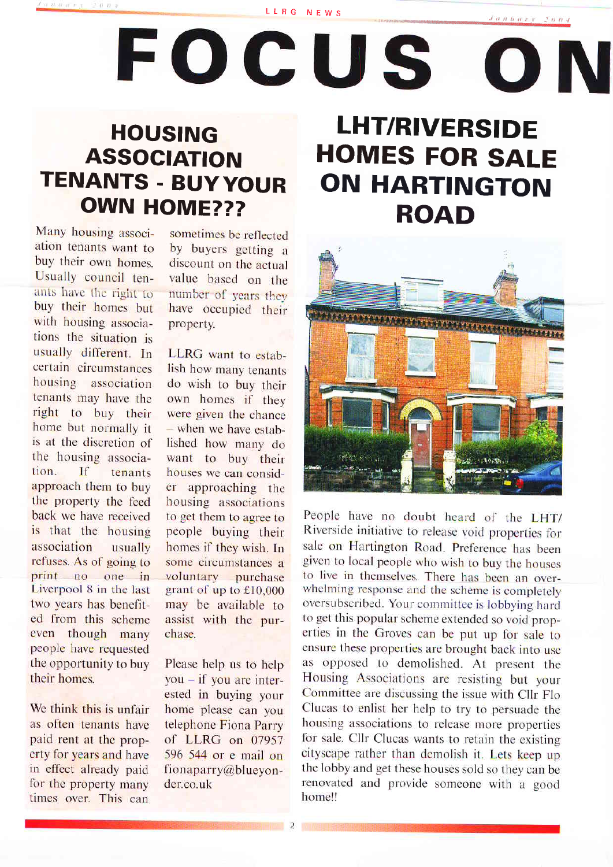LLRG NEWS

FOCUS

 $f$ , and  $\ddot{a}$  are  $f$  and  $\ddot{r}$  respectively.

# TENANTS - BUY YOUR ON HARTINGTON OWN HOME??? **HOUSING**

Many housing association tenants want to buy their own homes. Usually council tenants have the right to buy their homes but with housing associations the situation is usually different. In certain circumstances housing association tenants may have the right to buy their home but normally it is at the discretion of the housing association. If tenants approach them to buy the property the feed back we have received is that the housing association usually refuses. As of going to print no one in Liverpool B in the last two years has benefited from this scheme even though many people havc requested the opportunity to buy their homes.

We think this is unfair as often tenants have paid rent at the property for years and have in effect already paid for the property many times over. This can

sometimes be reflected by buyers getting a discount on the actual value based on the number of years they have occupied their property.

LLRG want to establish how many tenants do wish to buy their own homes if they were given the chance - when we have established how many do want to buy their houses we can consider approaching the housing associations to get them to agree to people buying their homes if they wish. In some circumstances a voluntary purchase grant of up to £10,000 may be available to assist with the purchase.

Please help us to help  $you - if you are inter$ ested in buying your home please can you telephone Fiona Parry of LLRG on 07957 596 544 or e mail on fionaparry@blueyonder.co.uk

# LHT/RIVERSIDE ROAD ASSOCIATION HOMES FOR SALE



People have no doubt heard of the LHT/ Riverside initiative to release void properties for sale on Hartington Road. Preference has been given to local people who wish to buy the houses to live in themselves There has been an over\_ whelming response and the scheme is completely oversubscribed. Your committee is lobbying harcl to get this popular scheme extended so void properties in the Groves can be put up for sale to ensure these properties are brought back into use as opposed to demolished. At present the Housing Associations are resisting but your Committee are discussing the issue with Cllr Flo Clucas to enlist her help to try to persuade the housing associations to release more properties for sale. Cllr Clucas wants to retain the existing cityscape rather than demolish it. Lets keep up the lobby and get these houses sold so they can be renovated and provide someone with a good home!!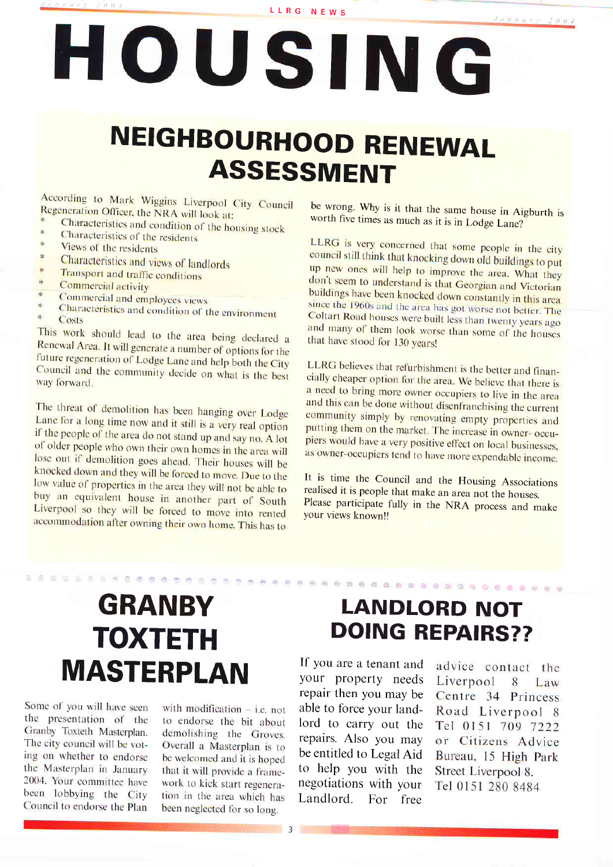LLRG NEWS

# HOUSING

## **NEIGHBOURHOOD RENEWAL ASSESSMENT**

According to Mark Wiggins Liverpool City Council Regeneration Officer, the NRA will look at:

- Characteristics and condition of the housing stock Characteristics of the residents
- Views of the residents
- $\frac{1}{2}$
- Characteristics and views of landlords
- Transport and traffic conditions  $\frac{1}{2}$
- Commercial activity R.
- Commercial and employees views  $\frac{1}{26}$
- Characteristics and condition of the environment ુંદ
- Costs

This work should lead to the area being declared a Renewal Area. It will generate a number of options for the future regeneration of Lodge Lane and help both the City Council and the community decide on what is the best way forward.

The threat of demolition has been hanging over Lodge Lane for a long time now and it still is a very real option if the people of the area do not stand up and say no. A lot of older people who own their own homes in the area will lose out if demolition goes ahead. Their houses will be knocked down and they will be forced to move. Due to the low value of properties in the area they will not be able to buy an equivalent house in another part of South Liverpool so they will be forced to move into rented accommodation after owning their own home. This has to

be wrong. Why is it that the same house in Aigburth is worth five times as much as it is in Lodge Lane?

LLRG is very concerned that some people in the city council still think that knocking down old buildings to put up new ones will help to improve the area. What they don't seem to understand is that Georgian and Victorian buildings have been knocked down constantly in this area since the 1960s and the area has got worse not better. The Coltart Road houses were built less than twenty years ago and many of them look worse than some of the houses that have stood for 130 years!

LLRG believes that refurbishment is the better and financially cheaper option for the area. We believe that there is a need to bring more owner occupiers to live in the area and this can be done without disenfranchising the current community simply by renovating empty properties and putting them on the market. The increase in owner- occupiers would have a very positive effect on local businesses, as owner-occupiers tend to have more expendable income.

It is time the Council and the Housing Associations realised it is people that make an area not the houses. Please participate fully in the NRA process and make your views known!!

### **GRANBY TOXTETH MASTERPLAN**

Some of you will have seen the presentation of the Granby Toxteth Masterplan. The city council will be voting on whether to endorse the Masterplan in January 2004. Your committee have been lobbying the City Council to endorse the Plan

with modification  $-$  i.e. not to endorse the bit about demolishing the Groves. Overall a Masterplan is to be welcomed and it is hoped that it will provide a framework to kick start regeneration in the area which has been neglected for so long.

#### **LANDLORD NOT DOING REPAIRS??**

李由毕毕中华中国中国的中国中国中国中国中国中国中国

If you are a tenant and advice contact the your property needs repair then you may be able to force your landlord to carry out the repairs. Also you may be entitled to Legal Aid to help you with the negotiations with your Landlord. For free

Liverpool 8 Law Centre 34 Princess Road Liverpool 8 Tel 0151 709 7222 or Citizens Advice Bureau, 15 High Park Street Liverpool 8. Tel 0151 280 8484